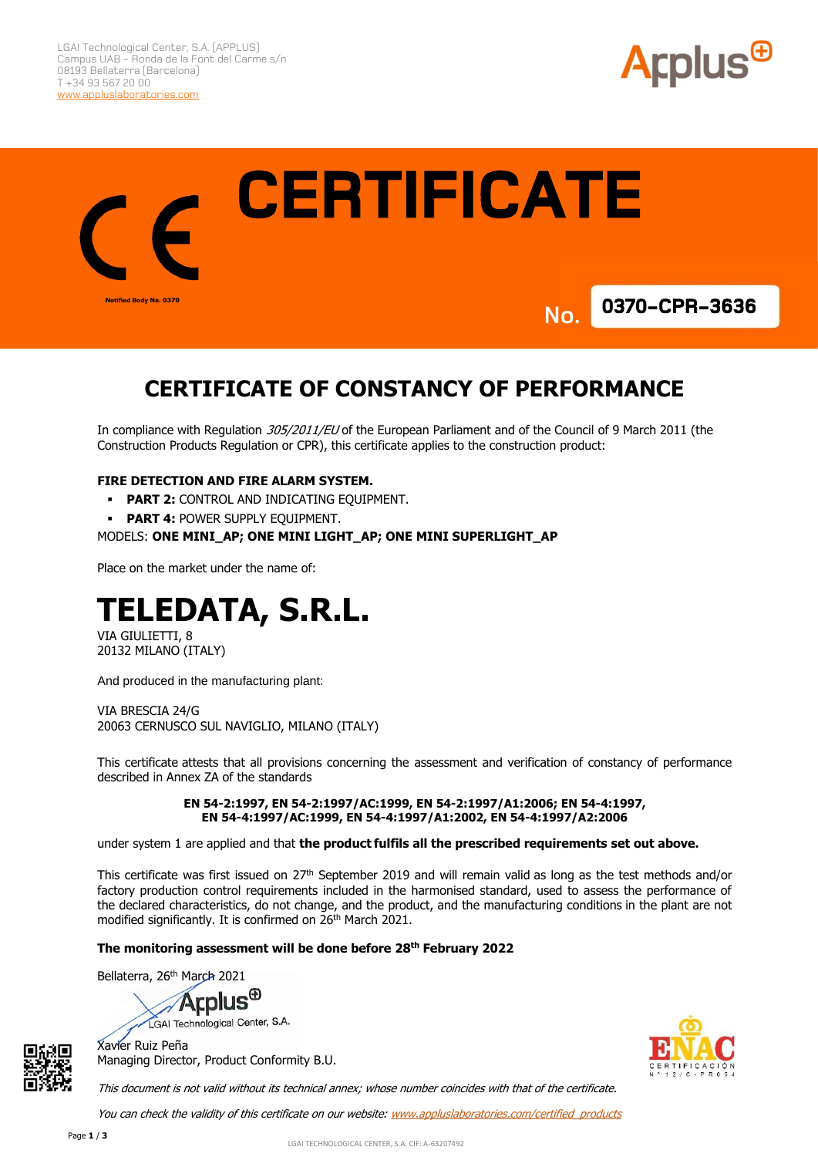

**CERTIFICATE** Notified Body No. 0370 **0370-CPR-3636 No.**

# **CERTIFICATE OF CONSTANCY OF PERFORMANCE**

In compliance with Regulation 305/2011/EU of the European Parliament and of the Council of 9 March 2011 (the Construction Products Regulation or CPR), this certificate applies to the construction product:

#### **FIRE DETECTION AND FIRE ALARM SYSTEM.**

- **PART 2: CONTROL AND INDICATING EQUIPMENT.**
- **PART 4: POWER SUPPLY EQUIPMENT.**

#### MODELS: **ONE MINI\_AP; ONE MINI LIGHT\_AP; ONE MINI SUPERLIGHT\_AP**

Place on the market under the name of:

# **TELEDATA, S.R.L.**

VIA GIULIETTI, 8 20132 MILANO (ITALY)

And produced in the manufacturing plant:

VIA BRESCIA 24/G 20063 CERNUSCO SUL NAVIGLIO, MILANO (ITALY)

This certificate attests that all provisions concerning the assessment and verification of constancy of performance described in Annex ZA of the standards

> **EN 54-2:1997, EN 54-2:1997/AC:1999, EN 54-2:1997/A1:2006; EN 54-4:1997, EN 54-4:1997/AC:1999, EN 54-4:1997/A1:2002, EN 54-4:1997/A2:2006**

under system 1 are applied and that **the product fulfils all the prescribed requirements set out above.**

This certificate was first issued on 27th September 2019 and will remain valid as long as the test methods and/or factory production control requirements included in the harmonised standard, used to assess the performance of the declared characteristics, do not change, and the product, and the manufacturing conditions in the plant are not modified significantly. It is confirmed on 26<sup>th</sup> March 2021.

#### **The monitoring assessment will be done before 28th February 2022**

Bellaterra, 26<sup>th</sup> March 2021





Xavier Ruiz Peña Managing Director, Product Conformity B.U.

This document is not valid without its technical annex; whose number coincides with that of the certificate.

You can check the validity of this certificate on our website: [www.appluslaboratories.com/certified\\_products](http://www.appluslaboratories.com/certified_products)

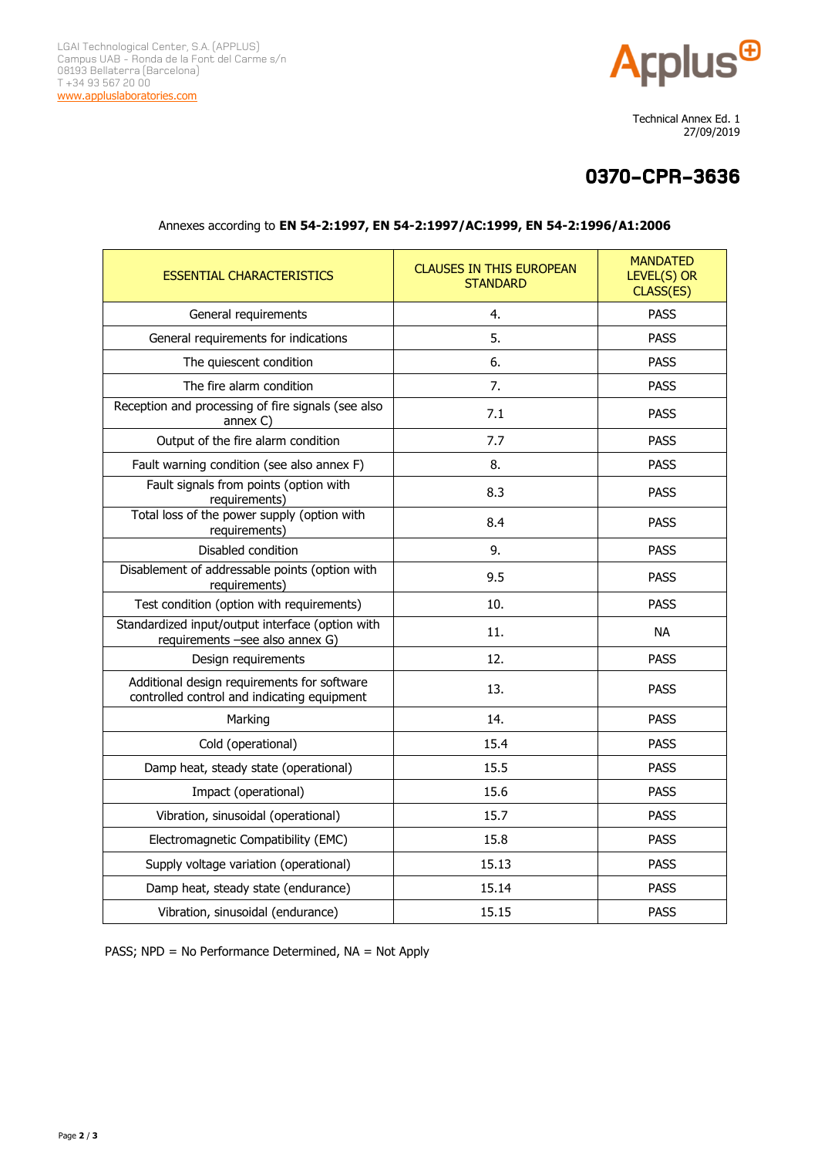

 Technical Annex Ed. 1 27/09/2019

## **0370-CPR-3636**

| <b>ESSENTIAL CHARACTERISTICS</b>                                                           | <b>CLAUSES IN THIS EUROPEAN</b><br><b>STANDARD</b> | <b>MANDATED</b><br>LEVEL(S) OR<br>CLASS(ES) |
|--------------------------------------------------------------------------------------------|----------------------------------------------------|---------------------------------------------|
| General requirements                                                                       | 4.                                                 | <b>PASS</b>                                 |
| General requirements for indications                                                       | 5.                                                 | <b>PASS</b>                                 |
| The quiescent condition                                                                    | 6.                                                 | <b>PASS</b>                                 |
| The fire alarm condition                                                                   | 7.                                                 | <b>PASS</b>                                 |
| Reception and processing of fire signals (see also<br>annex C                              | 7.1                                                | <b>PASS</b>                                 |
| Output of the fire alarm condition                                                         | 7.7                                                | <b>PASS</b>                                 |
| Fault warning condition (see also annex F)                                                 | 8.                                                 | <b>PASS</b>                                 |
| Fault signals from points (option with<br>requirements)                                    | 8.3                                                | <b>PASS</b>                                 |
| Total loss of the power supply (option with<br>requirements)                               | 8.4                                                | <b>PASS</b>                                 |
| Disabled condition                                                                         | 9.                                                 | <b>PASS</b>                                 |
| Disablement of addressable points (option with<br>requirements)                            | 9.5                                                | <b>PASS</b>                                 |
| Test condition (option with requirements)                                                  | 10.                                                | <b>PASS</b>                                 |
| Standardized input/output interface (option with<br>requirements -see also annex G)        | 11.                                                | <b>NA</b>                                   |
| Design requirements                                                                        | 12.                                                | <b>PASS</b>                                 |
| Additional design requirements for software<br>controlled control and indicating equipment | 13.                                                | PASS                                        |
| Marking                                                                                    | 14.                                                | <b>PASS</b>                                 |
| Cold (operational)                                                                         | 15.4                                               | <b>PASS</b>                                 |
| Damp heat, steady state (operational)                                                      | 15.5                                               | <b>PASS</b>                                 |
| Impact (operational)                                                                       | 15.6                                               | <b>PASS</b>                                 |
| Vibration, sinusoidal (operational)                                                        | 15.7                                               | <b>PASS</b>                                 |
| Electromagnetic Compatibility (EMC)                                                        | 15.8                                               | <b>PASS</b>                                 |
| Supply voltage variation (operational)                                                     | 15.13                                              | <b>PASS</b>                                 |
| Damp heat, steady state (endurance)                                                        | 15.14                                              | <b>PASS</b>                                 |
| Vibration, sinusoidal (endurance)                                                          | 15.15                                              | <b>PASS</b>                                 |

### Annexes according to **EN 54-2:1997, EN 54-2:1997/AC:1999, EN 54-2:1996/A1:2006**

PASS; NPD = No Performance Determined, NA = Not Apply